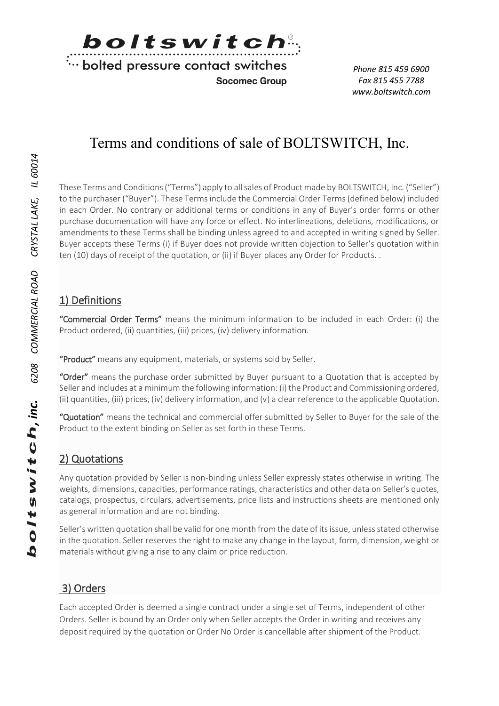

**Socomec Group** 

*Phone 815 459 6900 Fax 815 455 7788 www.boltswitch.com*

# Terms and conditions of sale of BOLTSWITCH, Inc.

These Terms and Conditions ("Terms") apply to all sales of Product made by BOLTSWITCH, Inc. ("Seller") to the purchaser ("Buyer"). These Terms include the Commercial Order Terms (defined below) included in each Order. No contrary or additional terms or conditions in any of Buyer's order forms or other purchase documentation will have any force or effect. No interlineations, deletions, modifications, or amendments to these Terms shall be binding unless agreed to and accepted in writing signed by Seller. Buyer accepts these Terms (i) if Buyer does not provide written objection to Seller's quotation within ten (10) days of receipt of the quotation, or (ii) if Buyer places any Order for Products. .

### 1) Definitions

"Commercial Order Terms" means the minimum information to be included in each Order: (i) the Product ordered, (ii) quantities, (iii) prices, (iv) delivery information.

"Product" means any equipment, materials, or systems sold by Seller.

"Order" means the purchase order submitted by Buyer pursuant to a Quotation that is accepted by Seller and includes at a minimum the following information: (i) the Product and Commissioning ordered, (ii) quantities, (iii) prices, (iv) delivery information, and (v) a clear reference to the applicable Quotation.

"Quotation" means the technical and commercial offer submitted by Seller to Buyer for the sale of the Product to the extent binding on Seller as set forth in these Terms.

## 2) Quotations

Any quotation provided by Seller is non-binding unless Seller expressly states otherwise in writing. The weights, dimensions, capacities, performance ratings, characteristics and other data on Seller's quotes, catalogs, prospectus, circulars, advertisements, price lists and instructions sheets are mentioned only as general information and are not binding.

Seller's written quotation shall be valid for one month from the date of its issue, unless stated otherwise in the quotation. Seller reserves the right to make any change in the layout, form, dimension, weight or materials without giving a rise to any claim or price reduction.

## 3) Orders

Each accepted Order is deemed a single contract under a single set of Terms, independent of other Orders. Seller is bound by an Order only when Seller accepts the Order in writing and receives any deposit required by the quotation or Order No Order is cancellable after shipment of the Product.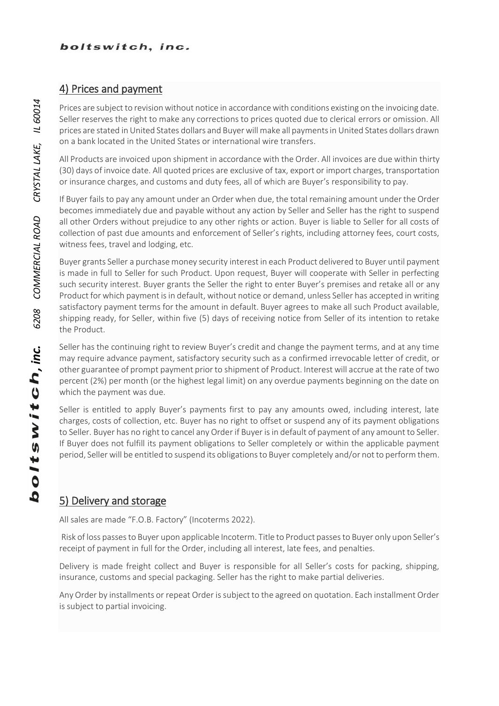#### 4) Prices and payment

Prices are subject to revision without notice in accordance with conditions existing on the invoicing date. Seller reserves the right to make any corrections to prices quoted due to clerical errors or omission. All prices are stated in United States dollars and Buyer will make all payments in United States dollars drawn on a bank located in the United States or international wire transfers.

All Products are invoiced upon shipment in accordance with the Order. All invoices are due within thirty (30) days of invoice date. All quoted prices are exclusive of tax, export or import charges, transportation or insurance charges, and customs and duty fees, all of which are Buyer's responsibility to pay.

If Buyer fails to pay any amount under an Order when due, the total remaining amount under the Order becomes immediately due and payable without any action by Seller and Seller has the right to suspend all other Orders without prejudice to any other rights or action. Buyer is liable to Seller for all costs of collection of past due amounts and enforcement of Seller's rights, including attorney fees, court costs, witness fees, travel and lodging, etc.

Buyer grants Seller a purchase money security interest in each Product delivered to Buyer until payment is made in full to Seller for such Product. Upon request, Buyer will cooperate with Seller in perfecting such security interest. Buyer grants the Seller the right to enter Buyer's premises and retake all or any Product for which payment is in default, without notice or demand, unless Seller has accepted in writing satisfactory payment terms for the amount in default. Buyer agrees to make all such Product available, shipping ready, for Seller, within five (5) days of receiving notice from Seller of its intention to retake the Product.

Seller has the continuing right to review Buyer's credit and change the payment terms, and at any time may require advance payment, satisfactory security such as a confirmed irrevocable letter of credit, or other guarantee of prompt payment prior to shipment of Product. Interest will accrue at the rate of two percent (2%) per month (or the highest legal limit) on any overdue payments beginning on the date on which the payment was due.

Seller is entitled to apply Buyer's payments first to pay any amounts owed, including interest, late charges, costs of collection, etc. Buyer has no right to offset or suspend any of its payment obligations to Seller. Buyer has no right to cancel any Order if Buyer is in default of payment of any amount to Seller. If Buyer does not fulfill its payment obligations to Seller completely or within the applicable payment period, Seller will be entitled to suspend its obligations to Buyer completely and/or not to perform them.

### 5) Delivery and storage

All sales are made "F.O.B. Factory" (Incoterms 2022).

Risk of loss passes to Buyer upon applicable Incoterm. Title to Product passes to Buyer only upon Seller's receipt of payment in full for the Order, including all interest, late fees, and penalties.

Delivery is made freight collect and Buyer is responsible for all Seller's costs for packing, shipping, insurance, customs and special packaging. Seller has the right to make partial deliveries.

Any Order by installments or repeat Order is subject to the agreed on quotation. Each installment Order is subject to partial invoicing.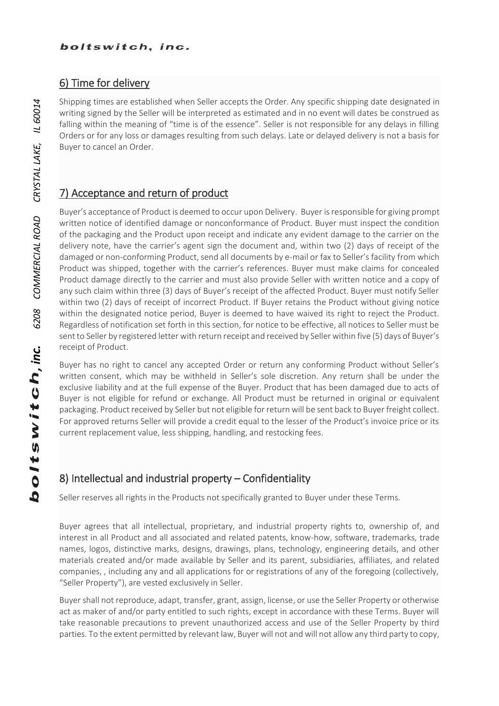#### 6) Time for delivery

Shipping times are established when Seller accepts the Order. Any specific shipping date designated in writing signed by the Seller will be interpreted as estimated and in no event will dates be construed as falling within the meaning of "time is of the essence". Seller is not responsible for any delays in filling Orders or for any loss or damages resulting from such delays. Late or delayed delivery is not a basis for Buyer to cancel an Order.

### 7) Acceptance and return of product

Buyer's acceptance of Product is deemed to occur upon Delivery. Buyer is responsible for giving prompt written notice of identified damage or nonconformance of Product. Buyer must inspect the condition of the packaging and the Product upon receipt and indicate any evident damage to the carrier on the delivery note, have the carrier's agent sign the document and, within two (2) days of receipt of the damaged or non-conforming Product, send all documents by e-mail or fax to Seller's facility from which Product was shipped, together with the carrier's references. Buyer must make claims for concealed Product damage directly to the carrier and must also provide Seller with written notice and a copy of any such claim within three (3) days of Buyer's receipt of the affected Product. Buyer must notify Seller within two (2) days of receipt of incorrect Product. If Buyer retains the Product without giving notice within the designated notice period, Buyer is deemed to have waived its right to reject the Product. Regardless of notification set forth in this section, for notice to be effective, all notices to Seller must be sent to Seller by registered letter with return receipt and received by Seller within five (5) days of Buyer's receipt of Product.

Buyer has no right to cancel any accepted Order or return any conforming Product without Seller's written consent, which may be withheld in Seller's sole discretion. Any return shall be under the exclusive liability and at the full expense of the Buyer. Product that has been damaged due to acts of Buyer is not eligible for refund or exchange. All Product must be returned in original or equivalent packaging. Product received by Seller but not eligible for return will be sent back to Buyer freight collect. For approved returns Seller will provide a credit equal to the lesser of the Product's invoice price or its current replacement value, less shipping, handling, and restocking fees.

### 8) Intellectual and industrial property – Confidentiality

Seller reserves all rights in the Products not specifically granted to Buyer under these Terms.

Buyer agrees that all intellectual, proprietary, and industrial property rights to, ownership of, and interest in all Product and all associated and related patents, know-how, software, trademarks, trade names, logos, distinctive marks, designs, drawings, plans, technology, engineering details, and other materials created and/or made available by Seller and its parent, subsidiaries, affiliates, and related companies, , including any and all applications for or registrations of any of the foregoing (collectively, "Seller Property"), are vested exclusively in Seller.

Buyer shall not reproduce, adapt, transfer, grant, assign, license, or use the Seller Property or otherwise act as maker of and/or party entitled to such rights, except in accordance with these Terms. Buyer will take reasonable precautions to prevent unauthorized access and use of the Seller Property by third parties. To the extent permitted by relevant law, Buyer will not and will not allow any third party to copy,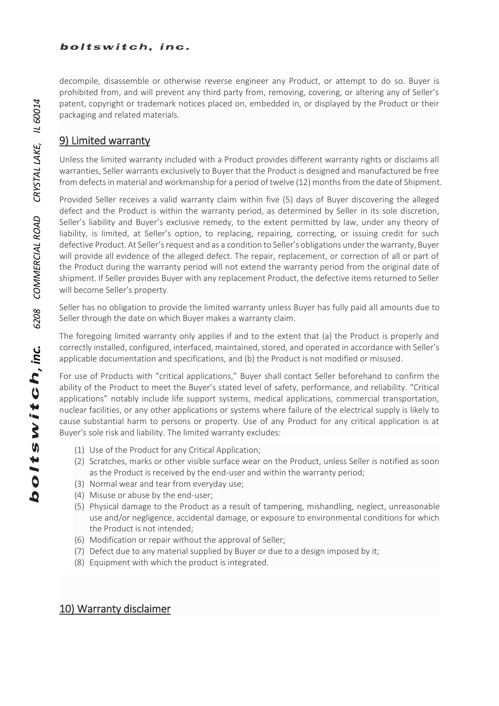decompile, disassemble or otherwise reverse engineer any Product, or attempt to do so. Buyer is prohibited from, and will prevent any third party from, removing, covering, or altering any of Seller's patent, copyright or trademark notices placed on, embedded in, or displayed by the Product or their packaging and related materials.

#### 9) Limited warranty

Unless the limited warranty included with a Product provides different warranty rights or disclaims all warranties, Seller warrants exclusively to Buyer that the Product is designed and manufactured be free from defects in material and workmanship for a period of twelve (12) months from the date of Shipment.

Provided Seller receives a valid warranty claim within five (5) days of Buyer discovering the alleged defect and the Product is within the warranty period, as determined by Seller in its sole discretion, Seller's liability and Buyer's exclusive remedy, to the extent permitted by law, under any theory of liability, is limited, at Seller's option, to replacing, repairing, correcting, or issuing credit for such defective Product. At Seller's request and as a condition to Seller's obligations under the warranty, Buyer will provide all evidence of the alleged defect. The repair, replacement, or correction of all or part of the Product during the warranty period will not extend the warranty period from the original date of shipment. If Seller provides Buyer with any replacement Product, the defective items returned to Seller will become Seller's property.

Seller has no obligation to provide the limited warranty unless Buyer has fully paid all amounts due to Seller through the date on which Buyer makes a warranty claim.

The foregoing limited warranty only applies if and to the extent that (a) the Product is properly and correctly installed, configured, interfaced, maintained, stored, and operated in accordance with Seller's applicable documentation and specifications, and (b) the Product is not modified or misused.

For use of Products with "critical applications," Buyer shall contact Seller beforehand to confirm the ability of the Product to meet the Buyer's stated level of safety, performance, and reliability. "Critical applications" notably include life support systems, medical applications, commercial transportation, nuclear facilities, or any other applications or systems where failure of the electrical supply is likely to cause substantial harm to persons or property. Use of any Product for any critical application is at Buyer's sole risk and liability. The limited warranty excludes:

- (1) Use of the Product for any Critical Application;
- (2) Scratches, marks or other visible surface wear on the Product, unless Seller is notified as soon as the Product is received by the end-user and within the warranty period;
- (3) Normal wear and tear from everyday use;
- (4) Misuse or abuse by the end-user;
- (5) Physical damage to the Product as a result of tampering, mishandling, neglect, unreasonable use and/or negligence, accidental damage, or exposure to environmental conditions for which the Product is not intended;
- (6) Modification or repair without the approval of Seller;
- (7) Defect due to any material supplied by Buyer or due to a design imposed by it;
- (8) Equipment with which the product is integrated.

### 10) Warranty disclaimer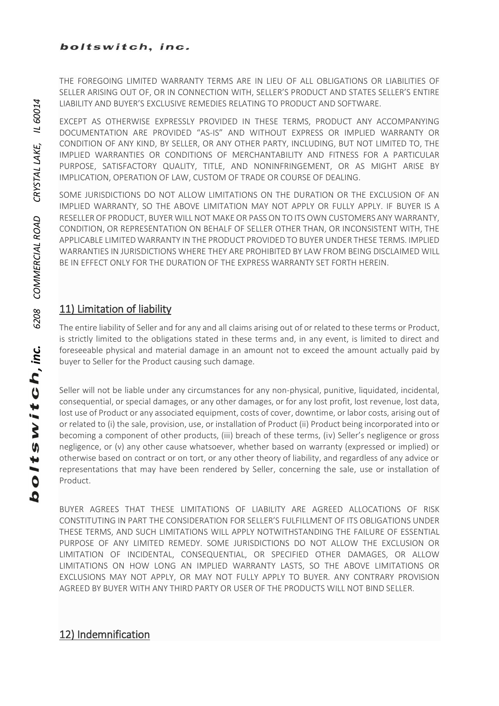THE FOREGOING LIMITED WARRANTY TERMS ARE IN LIEU OF ALL OBLIGATIONS OR LIABILITIES OF SELLER ARISING OUT OF, OR IN CONNECTION WITH, SELLER'S PRODUCT AND STATES SELLER'S ENTIRE LIABILITY AND BUYER'S EXCLUSIVE REMEDIES RELATING TO PRODUCT AND SOFTWARE.

EXCEPT AS OTHERWISE EXPRESSLY PROVIDED IN THESE TERMS, PRODUCT ANY ACCOMPANYING DOCUMENTATION ARE PROVIDED "AS-IS" AND WITHOUT EXPRESS OR IMPLIED WARRANTY OR CONDITION OF ANY KIND, BY SELLER, OR ANY OTHER PARTY, INCLUDING, BUT NOT LIMITED TO, THE IMPLIED WARRANTIES OR CONDITIONS OF MERCHANTABILITY AND FITNESS FOR A PARTICULAR PURPOSE, SATISFACTORY QUALITY, TITLE, AND NONINFRINGEMENT, OR AS MIGHT ARISE BY IMPLICATION, OPERATION OF LAW, CUSTOM OF TRADE OR COURSE OF DEALING.

SOME JURISDICTIONS DO NOT ALLOW LIMITATIONS ON THE DURATION OR THE EXCLUSION OF AN IMPLIED WARRANTY, SO THE ABOVE LIMITATION MAY NOT APPLY OR FULLY APPLY. IF BUYER IS A RESELLER OF PRODUCT, BUYER WILL NOT MAKE OR PASS ON TO ITS OWN CUSTOMERS ANY WARRANTY, CONDITION, OR REPRESENTATION ON BEHALF OF SELLER OTHER THAN, OR INCONSISTENT WITH, THE APPLICABLE LIMITED WARRANTY IN THE PRODUCT PROVIDED TO BUYER UNDER THESE TERMS. IMPLIED WARRANTIES IN JURISDICTIONS WHERE THEY ARE PROHIBITED BY LAW FROM BEING DISCLAIMED WILL BE IN EFFECT ONLY FOR THE DURATION OF THE EXPRESS WARRANTY SET FORTH HEREIN.

### 11) Limitation of liability

The entire liability of Seller and for any and all claims arising out of or related to these terms or Product, is strictly limited to the obligations stated in these terms and, in any event, is limited to direct and foreseeable physical and material damage in an amount not to exceed the amount actually paid by buyer to Seller for the Product causing such damage.

Seller will not be liable under any circumstances for any non-physical, punitive, liquidated, incidental, consequential, or special damages, or any other damages, or for any lost profit, lost revenue, lost data, lost use of Product or any associated equipment, costs of cover, downtime, or labor costs, arising out of or related to (i) the sale, provision, use, or installation of Product (ii) Product being incorporated into or becoming a component of other products, (iii) breach of these terms, (iv) Seller's negligence or gross negligence, or (v) any other cause whatsoever, whether based on warranty (expressed or implied) or otherwise based on contract or on tort, or any other theory of liability, and regardless of any advice or representations that may have been rendered by Seller, concerning the sale, use or installation of Product.

BUYER AGREES THAT THESE LIMITATIONS OF LIABILITY ARE AGREED ALLOCATIONS OF RISK CONSTITUTING IN PART THE CONSIDERATION FOR SELLER'S FULFILLMENT OF ITS OBLIGATIONS UNDER THESE TERMS, AND SUCH LIMITATIONS WILL APPLY NOTWITHSTANDING THE FAILURE OF ESSENTIAL PURPOSE OF ANY LIMITED REMEDY. SOME JURISDICTIONS DO NOT ALLOW THE EXCLUSION OR LIMITATION OF INCIDENTAL, CONSEQUENTIAL, OR SPECIFIED OTHER DAMAGES, OR ALLOW LIMITATIONS ON HOW LONG AN IMPLIED WARRANTY LASTS, SO THE ABOVE LIMITATIONS OR EXCLUSIONS MAY NOT APPLY, OR MAY NOT FULLY APPLY TO BUYER. ANY CONTRARY PROVISION AGREED BY BUYER WITH ANY THIRD PARTY OR USER OF THE PRODUCTS WILL NOT BIND SELLER.

### 12) Indemnification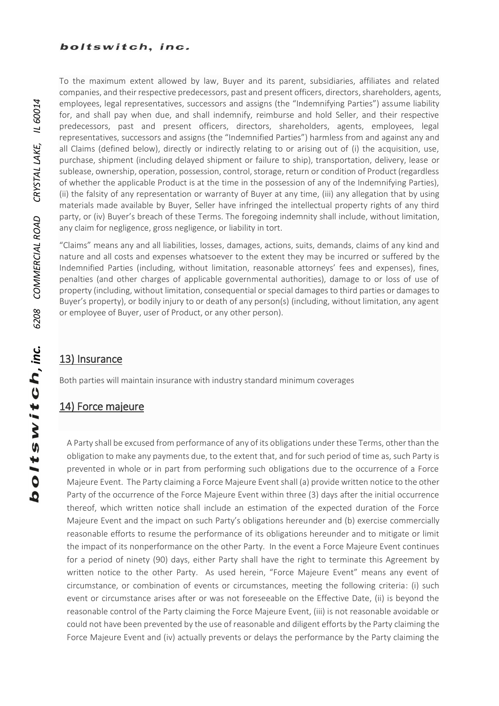To the maximum extent allowed by law, Buyer and its parent, subsidiaries, affiliates and related companies, and their respective predecessors, past and present officers, directors, shareholders, agents, employees, legal representatives, successors and assigns (the "Indemnifying Parties") assume liability for, and shall pay when due, and shall indemnify, reimburse and hold Seller, and their respective predecessors, past and present officers, directors, shareholders, agents, employees, legal representatives, successors and assigns (the "Indemnified Parties") harmless from and against any and all Claims (defined below), directly or indirectly relating to or arising out of (i) the acquisition, use, purchase, shipment (including delayed shipment or failure to ship), transportation, delivery, lease or sublease, ownership, operation, possession, control, storage, return or condition of Product (regardless of whether the applicable Product is at the time in the possession of any of the Indemnifying Parties), (ii) the falsity of any representation or warranty of Buyer at any time, (iii) any allegation that by using materials made available by Buyer, Seller have infringed the intellectual property rights of any third party, or (iv) Buyer's breach of these Terms. The foregoing indemnity shall include, without limitation, any claim for negligence, gross negligence, or liability in tort.

"Claims" means any and all liabilities, losses, damages, actions, suits, demands, claims of any kind and nature and all costs and expenses whatsoever to the extent they may be incurred or suffered by the Indemnified Parties (including, without limitation, reasonable attorneys' fees and expenses), fines, penalties (and other charges of applicable governmental authorities), damage to or loss of use of property (including, without limitation, consequential or special damages to third parties or damages to Buyer's property), or bodily injury to or death of any person(s) (including, without limitation, any agent or employee of Buyer, user of Product, or any other person).

### 13) Insurance

Both parties will maintain insurance with industry standard minimum coverages

#### 14) Force majeure

A Party shall be excused from performance of any of its obligations under these Terms, other than the obligation to make any payments due, to the extent that, and for such period of time as, such Party is prevented in whole or in part from performing such obligations due to the occurrence of a Force Majeure Event. The Party claiming a Force Majeure Event shall (a) provide written notice to the other Party of the occurrence of the Force Majeure Event within three (3) days after the initial occurrence thereof, which written notice shall include an estimation of the expected duration of the Force Majeure Event and the impact on such Party's obligations hereunder and (b) exercise commercially reasonable efforts to resume the performance of its obligations hereunder and to mitigate or limit the impact of its nonperformance on the other Party. In the event a Force Majeure Event continues for a period of ninety (90) days, either Party shall have the right to terminate this Agreement by written notice to the other Party. As used herein, "Force Majeure Event" means any event of circumstance, or combination of events or circumstances, meeting the following criteria: (i) such event or circumstance arises after or was not foreseeable on the Effective Date, (ii) is beyond the reasonable control of the Party claiming the Force Majeure Event, (iii) is not reasonable avoidable or could not have been prevented by the use of reasonable and diligent efforts by the Party claiming the Force Majeure Event and (iv) actually prevents or delays the performance by the Party claiming the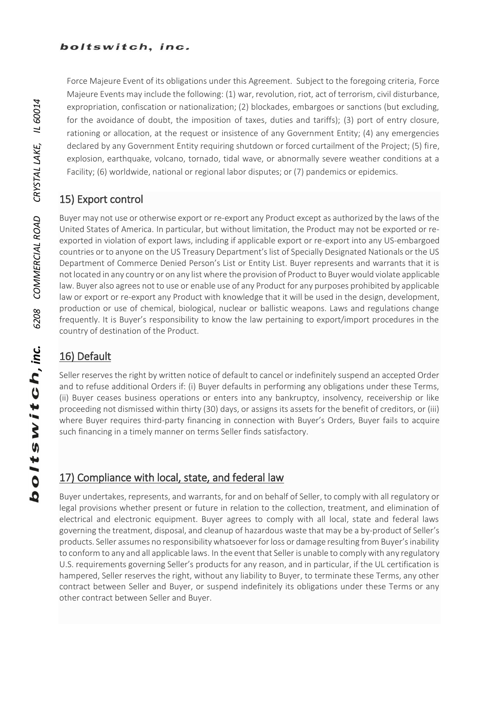Force Majeure Event of its obligations under this Agreement. Subject to the foregoing criteria, Force Majeure Events may include the following: (1) war, revolution, riot, act of terrorism, civil disturbance, expropriation, confiscation or nationalization; (2) blockades, embargoes or sanctions (but excluding, for the avoidance of doubt, the imposition of taxes, duties and tariffs); (3) port of entry closure, rationing or allocation, at the request or insistence of any Government Entity; (4) any emergencies declared by any Government Entity requiring shutdown or forced curtailment of the Project; (5) fire, explosion, earthquake, volcano, tornado, tidal wave, or abnormally severe weather conditions at a Facility; (6) worldwide, national or regional labor disputes; or (7) pandemics or epidemics.

### 15) Export control

Buyer may not use or otherwise export or re-export any Product except as authorized by the laws of the United States of America. In particular, but without limitation, the Product may not be exported or reexported in violation of export laws, including if applicable export or re-export into any US-embargoed countries or to anyone on the US Treasury Department's list of Specially Designated Nationals or the US Department of Commerce Denied Person's List or Entity List. Buyer represents and warrants that it is not located in any country or on any list where the provision of Product to Buyer would violate applicable law. Buyer also agrees not to use or enable use of any Product for any purposes prohibited by applicable law or export or re-export any Product with knowledge that it will be used in the design, development, production or use of chemical, biological, nuclear or ballistic weapons. Laws and regulations change frequently. It is Buyer's responsibility to know the law pertaining to export/import procedures in the country of destination of the Product.

## 16) Default

Seller reserves the right by written notice of default to cancel or indefinitely suspend an accepted Order and to refuse additional Orders if: (i) Buyer defaults in performing any obligations under these Terms, (ii) Buyer ceases business operations or enters into any bankruptcy, insolvency, receivership or like proceeding not dismissed within thirty (30) days, or assigns its assets for the benefit of creditors, or (iii) where Buyer requires third-party financing in connection with Buyer's Orders, Buyer fails to acquire such financing in a timely manner on terms Seller finds satisfactory.

### 17) Compliance with local, state, and federal law

Buyer undertakes, represents, and warrants, for and on behalf of Seller, to comply with all regulatory or legal provisions whether present or future in relation to the collection, treatment, and elimination of electrical and electronic equipment. Buyer agrees to comply with all local, state and federal laws governing the treatment, disposal, and cleanup of hazardous waste that may be a by-product of Seller's products. Seller assumes no responsibility whatsoever for loss or damage resulting from Buyer's inability to conform to any and all applicable laws. In the event that Seller is unable to comply with any regulatory U.S. requirements governing Seller's products for any reason, and in particular, if the UL certification is hampered, Seller reserves the right, without any liability to Buyer, to terminate these Terms, any other contract between Seller and Buyer, or suspend indefinitely its obligations under these Terms or any other contract between Seller and Buyer.